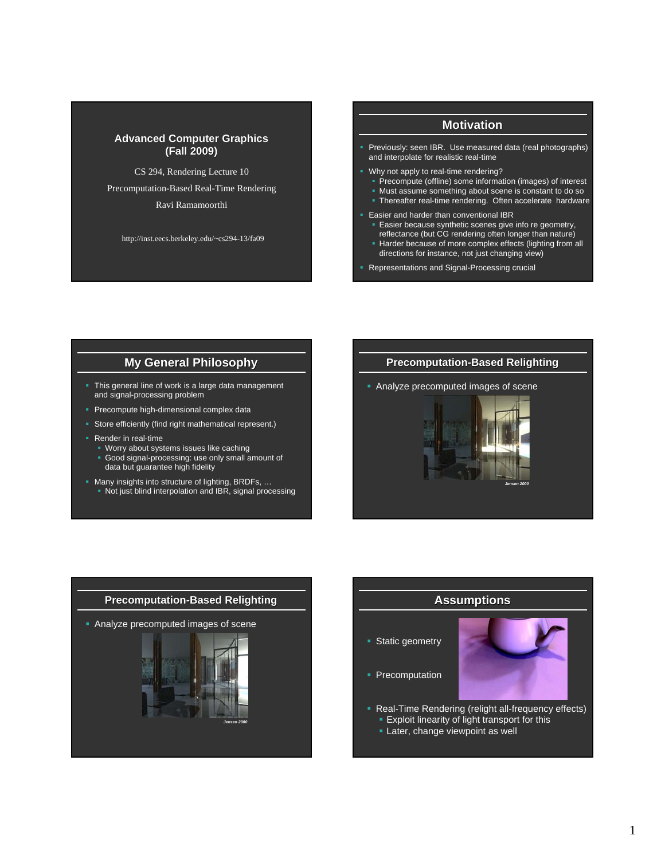#### **Advanced Computer Graphics (Fall 2009) (Fall 2009)**

CS 294, Rendering Lecture 10

Precomputation-Based Real-Time Rendering

Ravi Ramamoorthi

http://inst.eecs.berkeley.edu/~cs294-13/fa09

## **Motivation**

- **Previously: seen IBR. Use measured data (real photographs)** and interpolate for realistic real-time
- Why not apply to real-time rendering?
	- **Precompute (offline) some information (images) of interest**
	- Must assume something about scene is constant to do so **Thereafter real-time rendering. Often accelerate hardware**
- **Easier and harder than conventional IBR** 
	- **Easier because synthetic scenes give info re geometry,**
	- reflectance (but CG rendering often longer than nature)
	- Harder because of more complex effects (lighting from all directions for instance, not just changing view)
- **Representations and Signal-Processing crucial**

## **My General Philosophy**

- This general line of work is a large data management and signal-processing problem
- Precompute high-dimensional complex data
- **Store efficiently (find right mathematical represent.)**
- **Render in real-time** 
	- Worry about systems issues like caching
	- Good signal-processing: use only small amount of data but guarantee high fidelity
- **Many insights into structure of lighting, BRDFs, ...** Not just blind interpolation and IBR, signal processing

#### **Precomputation-Based Relighting**

Analyze precomputed images of scene







1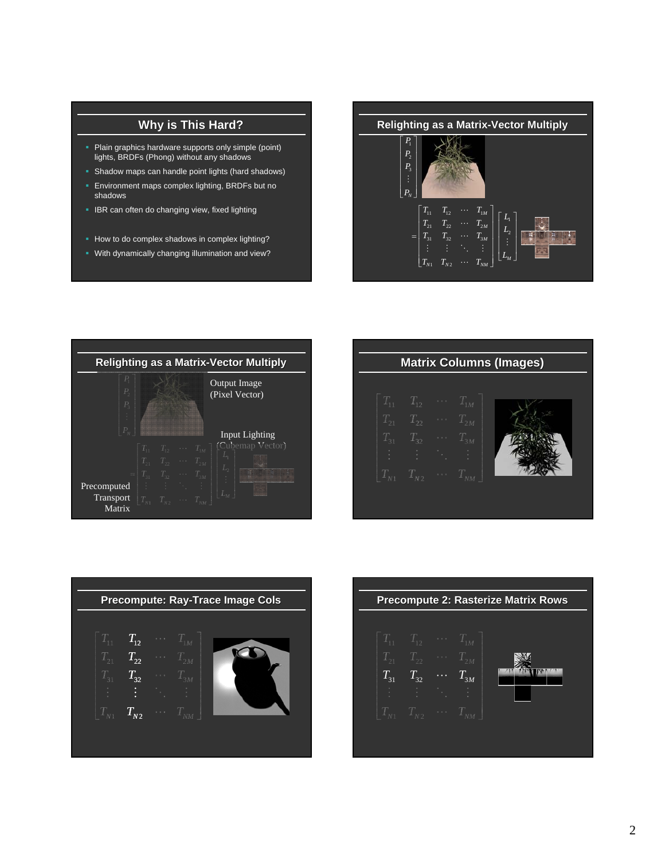# **Why is This Hard?**

- Plain graphics hardware supports only simple (point) lights, BRDFs (Phong) without any shadows
- Shadow maps can handle point lights (hard shadows)
- Environment maps complex lighting, BRDFs but no shadows
- **IBR can often do changing view, fixed lighting**
- How to do complex shadows in complex lighting?
- With dynamically changing illumination and view?

**Relighting as a Matrix-Vector Multiply**  $\begin{bmatrix}P_1\P_2\P_3\vdots\P_N\end{bmatrix}$ 1 *P P* 2 *P N P*  $\begin{array}{ccc} \left| \begin{array}{cccc} T_{11} & T_{12} & \cdots & T_{1M} \ T_{21} & T_{22} & \cdots & T_{2M} \end{array} \right| \left[ \begin{array}{cccc} L \ I \end{array} \right] \end{array}$  $\begin{bmatrix} T_{11} & T_{12} & \cdots & T_{1M} \ T_{21} & T_{22} & \cdots & T_{2M} \ T_{31} & T_{32} & \cdots & T_{3M} \end{bmatrix} \begin{bmatrix} L \ L \end{bmatrix}$  $\begin{bmatrix} 11 & I_{12} & \cdots & I_{1M} \ I_{21} & T_{22} & \cdots & T_{2M} \ \vdots & \vdots & \ddots & \vdots \ I_{31} & T_{32} & \cdots & T_{3M} \end{bmatrix} \begin{bmatrix} L_1 \ L_2 \ \vdots \end{bmatrix}$ *M M*  $=\begin{bmatrix} T_{31} & T_{32} & \cdots & T_{3M} \\ \vdots & \vdots & \ddots & \vdots \\ T_{N1} & T_{N2} & \cdots & T_{NM} \end{bmatrix} \begin{bmatrix} L_2 \\ \vdots \\ L_M \end{bmatrix}$ 电视频率  $T_{31}$   $T_{32}$   $\cdots$   $T_{3M}$   $\Bigg|\begin{array}{ccc} 1 & 1 \ 1 & \vdots \ \vdots & \ddots & \vdots \end{array}\Bigg|$ *M L M*  $T_{N1}$   $T_{N2}$   $\cdots$   $T_{NM}$ 



| <b>Matrix Columns (Images)</b> |                                     |                            |          |  |  |
|--------------------------------|-------------------------------------|----------------------------|----------|--|--|
|                                |                                     |                            |          |  |  |
| 4                              | $T_{12} \quad \cdots \quad T_{1M}$  |                            |          |  |  |
| $T_{21}$                       | $T_{22}$                            | $\mathbb{Z}[\mathbb{Z}_p]$ | $T_{2M}$ |  |  |
| $T_{31}$                       | $T_{32}$                            | $\epsilon$ .               | $T_{3M}$ |  |  |
|                                |                                     |                            |          |  |  |
|                                | $T_{N1}$ $T_{N2}$ $\cdots$ $T_{NM}$ |                            |          |  |  |
|                                |                                     |                            |          |  |  |



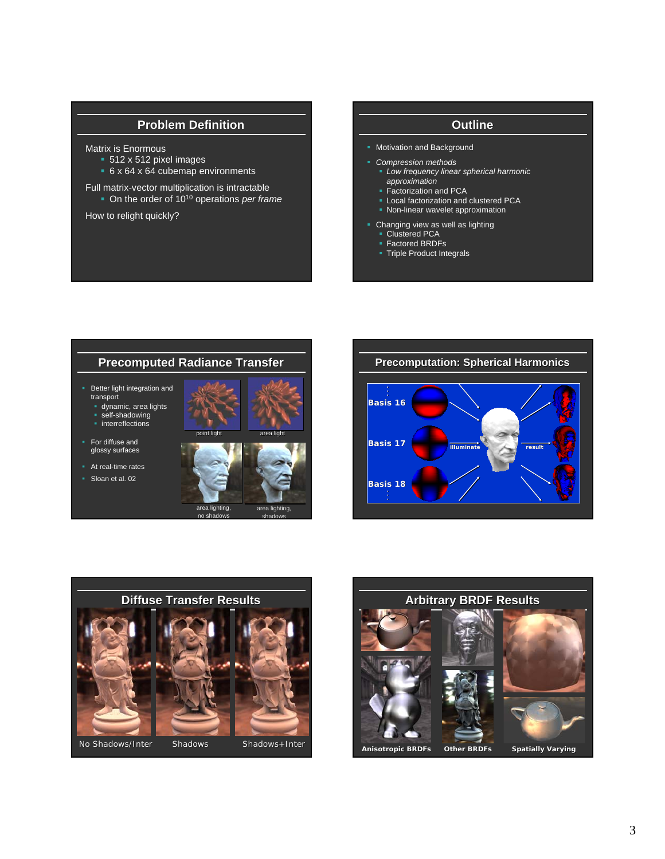## **Problem Definition**

#### Matrix is Enormous

- 512 x 512 pixel images
- 6 x 64 x 64 cubemap environments

Full matrix-vector multiplication is intractable

On the order of 1010 operations *per frame*

How to relight quickly?

## **Outline**

- **Motivation and Background**
- *Compression methods*
- *Low frequency linear spherical harmonic approximation*
- Factorization and PCA
- **Local factorization and clustered PCA**
- **Non-linear wavelet approximation**
- **Changing view as well as lighting** 
	- Clustered PCA
	- Factored BRDFs
	- **Triple Product Integrals**







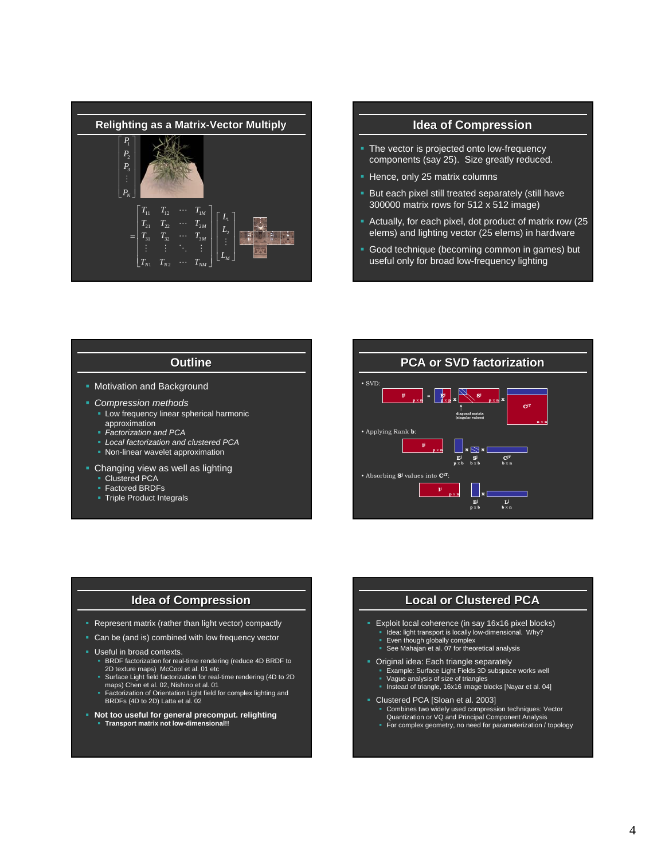

- The vector is projected onto low-frequency components (say 25). Size greatly reduced.
- Hence, only 25 matrix columns
- **But each pixel still treated separately (still have** 300000 matrix rows for 512 x 512 image)
- Actually, for each pixel, dot product of matrix row (25 elems) and lighting vector (25 elems) in hardware
- Good technique (becoming common in games) but useful only for broad low-frequency lighting

#### **Outline**

- **Motivation and Background**
- *Compression methods*
	- **EXEC** Low frequency linear spherical harmonic approximation
	- *Factorization and PCA*
	- *Local factorization and clustered PCA*
	- **Non-linear wavelet approximation**
- Changing view as well as lighting
	- **Clustered PCA**
	- Factored BRDFs
	- **Triple Product Integrals**



#### **Idea of Compression**

- **Represent matrix (rather than light vector) compactly**
- Can be (and is) combined with low frequency vector
- **Useful in broad contexts.** 
	- BRDF factorization for real-time rendering (reduce 4D BRDF to
	- 2D texture maps) McCool et al. 01 etc Surface Light field factorization for real-time rendering (4D to 2D maps) Chen et al. 02, Nishino et al. 01
	- Factorization of Orientation Light field for complex lighting and BRDFs (4D to 2D) Latta et al. 02
- **Not too useful for general precomput. relighting Transport matrix not low-dimensional!!**

#### **Local or Clustered PCA**

- Exploit local coherence (in say 16x16 pixel blocks)
	- Idea: light transport is locally low-dimensional. Why?
- Even though globally complex See Mahajan et al. 07 for theoretical analysis
- Original idea: Each triangle separately
- Example: Surface Light Fields 3D subspace works well Vague analysis of size of triangles
- Instead of triangle, 16x16 image blocks [Nayar et al. 04]
- Clustered PCA [Sloan et al. 2003]
	- Combines two widely used compression techniques: Vector Quantization or VQ and Principal Component Analysis For complex geometry, no need for parameterization / topology
	-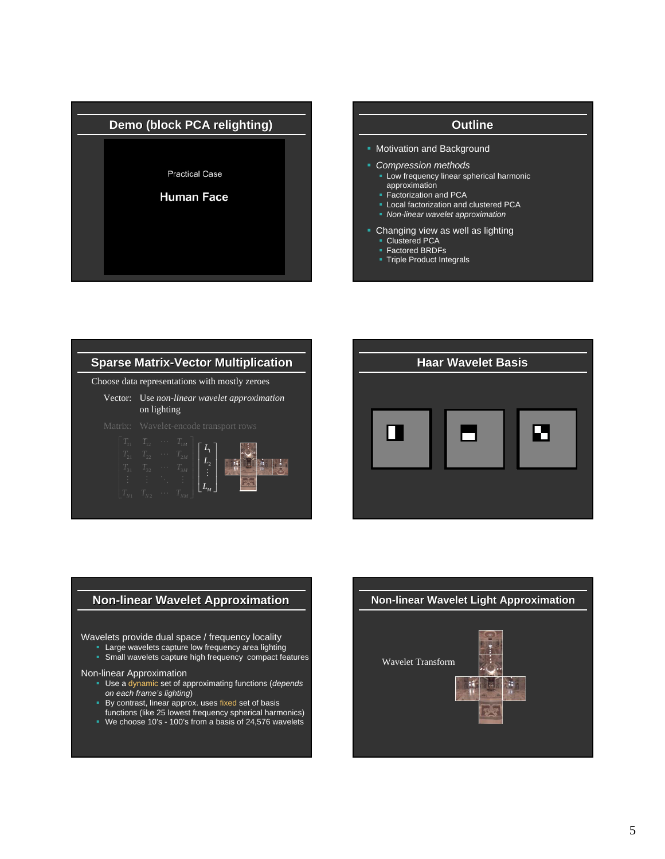

# **Motivation and Background**  *Compression methods* **-** Low frequency linear spherical harmonic approximation **Factorization and PCA Local factorization and clustered PCA**  *Non-linear wavelet approximation* Changing view as well as lighting **Clustered PCA** ■ Factored BRDFs **Triple Product Integrals**





### **Non-linear Wavelet Approximation**

#### Wavelets provide dual space / frequency locality

- **Large wavelets capture low frequency area lighting**
- **Small wavelets capture high frequency compact features**

#### Non-linear Approximation

- Use a dynamic set of approximating functions (*depends on each frame's lighting*)
- By contrast, linear approx. uses fixed set of basis
- functions (like 25 lowest frequency spherical harmonics) We choose 10's - 100's from a basis of 24,576 wavelets

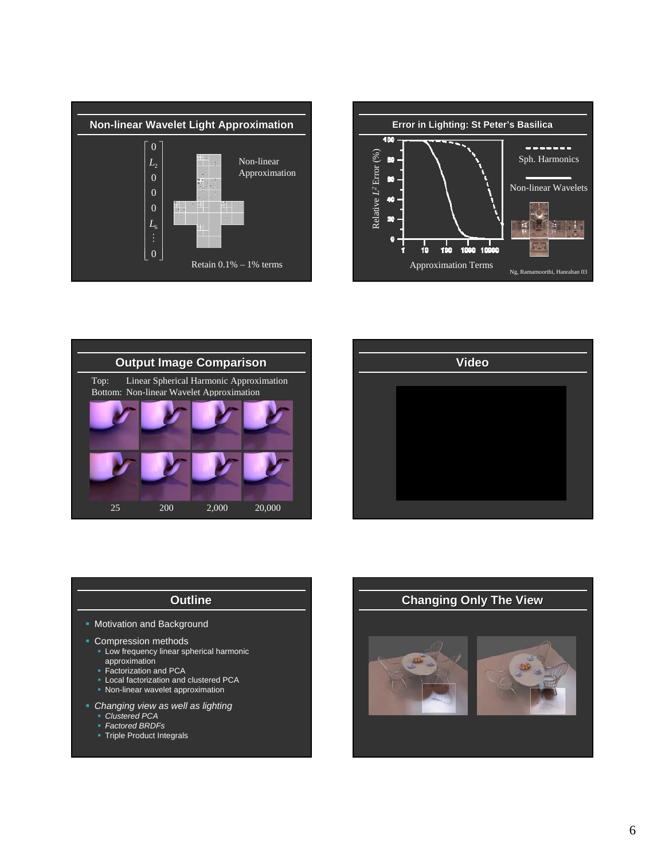







## **Outline**

- **Motivation and Background**
- **Compression methods** 
	- **Low frequency linear spherical harmonic** approximation
	- Factorization and PCA
	- **Local factorization and clustered PCA**
	- **Non-linear wavelet approximation**
- *Changing view as well as lighting*
	- *Clustered PCA*
	- *Factored BRDFs*
	- **Triple Product Integrals**

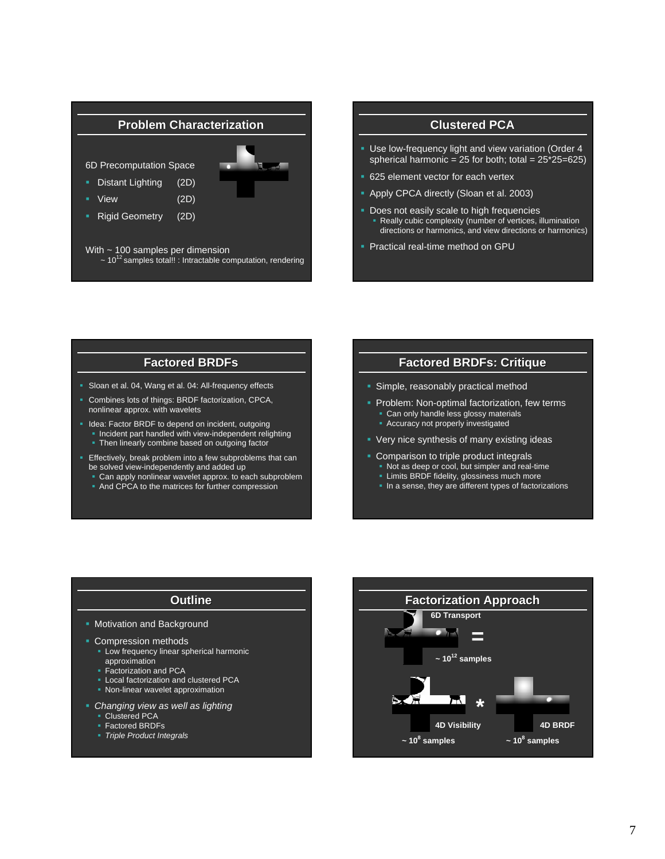## **Problem Characterization**

6D Precomputation Space

- Distant Lighting (2D)
- View (2D)
- **Rigid Geometry** (2D)



With ~ 100 samples per dimension  $\sim$  10<sup>12</sup> samples total!! : Intractable computation, rendering

## **Clustered PCA**

- Use low-frequency light and view variation (Order 4 spherical harmonic =  $25$  for both; total =  $25*25=625$ )
- 625 element vector for each vertex
- Apply CPCA directly (Sloan et al. 2003)
- **Does not easily scale to high frequencies**  Really cubic complexity (number of vertices, illumination directions or harmonics, and view directions or harmonics)
- **Practical real-time method on GPU**

## **Factored Factored BRDFs**

- Sloan et al. 04, Wang et al. 04: All-frequency effects
- Combines lots of things: BRDF factorization, CPCA, nonlinear approx. with wavelets
- I Idea: Factor BRDF to depend on incident, outgoing
	- Incident part handled with view-independent relighting
	- **Then linearly combine based on outgoing factor**
- **Effectively, break problem into a few subproblems that can** be solved view-independently and added up
	- Can apply nonlinear wavelet approx. to each subproblem
	- And CPCA to the matrices for further compression

#### **Factored Factored BRDFs: Critique**

- **Simple, reasonably practical method**
- **Problem: Non-optimal factorization, few terms** 
	- **Can only handle less glossy materials**
	- **Accuracy not properly investigated**
- **Very nice synthesis of many existing ideas**
- Comparison to triple product integrals
	- Not as deep or cool, but simpler and real-time
	- **Limits BRDF fidelity, glossiness much more**
	- In a sense, they are different types of factorizations

## **Outline**

- **Motivation and Background**
- **Compression methods** 
	- Low frequency linear spherical harmonic approximation
	- **Factorization and PCA**
	- **Local factorization and clustered PCA**
	- **Non-linear wavelet approximation**
- *Changing view as well as lighting*
	- Clustered PCA
	- Factored BRDFs
	- *Triple Product Integrals*

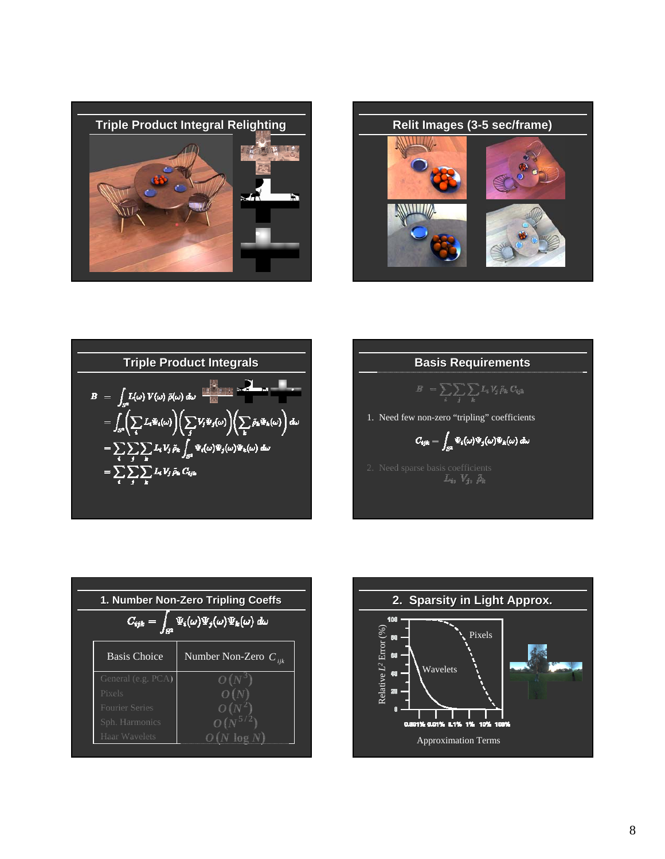





**Basis Requirements**

\n
$$
B = \sum_{i} \sum_{k} \sum_{k} \mu_{j} \rho_{k} C_{ijk}
$$
\n1. Need few non-zero "tripling" coefficients

\n
$$
C_{ijk} = \int_{\mathcal{S}^{k}} \Psi_{i}(\omega) \Psi_{j}(\omega) \Psi_{k}(\omega) d\omega
$$
\n2. Need sparse basis coefficients

\n
$$
L_{ij}, \quad V_{ji}, \quad \tilde{p}_{k}
$$

| 1. Number Non-Zero Tripling Coeffs                               |                           |  |  |  |  |
|------------------------------------------------------------------|---------------------------|--|--|--|--|
| $\Psi_i(\omega) \Psi_j(\omega) \Psi_k(\omega)$ du<br>$C_{ijk} =$ |                           |  |  |  |  |
| <b>Basis Choice</b>                                              | Number Non-Zero $C_{ijk}$ |  |  |  |  |
| General (e.g. PCA)                                               |                           |  |  |  |  |
| Pixels                                                           |                           |  |  |  |  |
| Fourier Series                                                   |                           |  |  |  |  |
| Sph. Harmonics                                                   |                           |  |  |  |  |
| Haar Wavelets                                                    |                           |  |  |  |  |